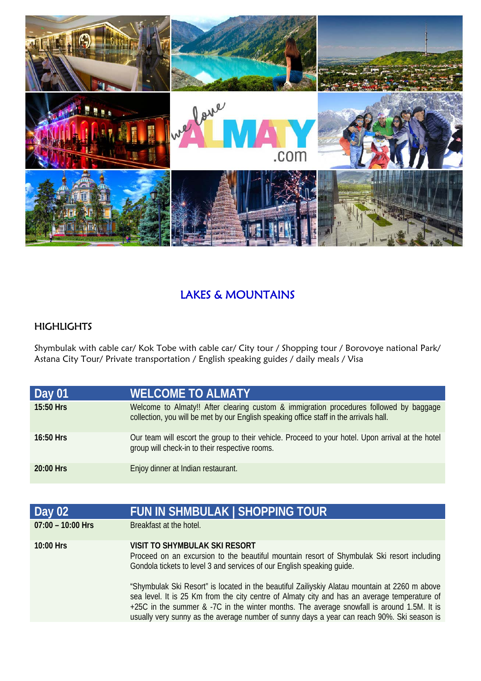

## LAKES & MOUNTAINS

## **HIGHLIGHTS**

Shymbulak with cable car/ Kok Tobe with cable car/ City tour / Shopping tour / Borovoye national Park/ Astana City Tour/ Private transportation / English speaking guides / daily meals / Visa

| Day 01      | <b>WELCOME TO ALMATY</b>                                                                                                                                                         |
|-------------|----------------------------------------------------------------------------------------------------------------------------------------------------------------------------------|
| 15:50 Hrs   | Welcome to Almaty!! After clearing custom & immigration procedures followed by baggage<br>collection, you will be met by our English speaking office staff in the arrivals hall. |
| $16:50$ Hrs | Our team will escort the group to their vehicle. Proceed to your hotel. Upon arrival at the hotel<br>group will check-in to their respective rooms.                              |
| $20:00$ Hrs | Enjoy dinner at Indian restaurant.                                                                                                                                               |

| Day 02              | <b>FUN IN SHMBULAK   SHOPPING TOUR</b>                                                                                                                                                                                                                                                                                                                                                   |
|---------------------|------------------------------------------------------------------------------------------------------------------------------------------------------------------------------------------------------------------------------------------------------------------------------------------------------------------------------------------------------------------------------------------|
| $07:00 - 10:00$ Hrs | Breakfast at the hotel.                                                                                                                                                                                                                                                                                                                                                                  |
| 10:00 Hrs           | VISIT TO SHYMBULAK SKI RESORT<br>Proceed on an excursion to the beautiful mountain resort of Shymbulak Ski resort including<br>Gondola tickets to level 3 and services of our English speaking quide.                                                                                                                                                                                    |
|                     | "Shymbulak Ski Resort" is located in the beautiful Zailiyskiy Alatau mountain at 2260 m above<br>sea level. It is 25 Km from the city centre of Almaty city and has an average temperature of<br>+25C in the summer & -7C in the winter months. The average snowfall is around 1.5M. It is<br>usually very sunny as the average number of sunny days a year can reach 90%. Ski season is |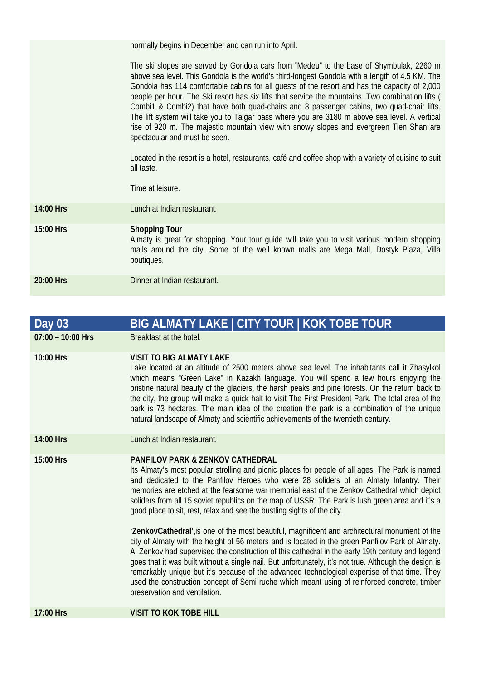normally begins in December and can run into April.

The ski slopes are served by Gondola cars from "Medeu" to the base of Shymbulak, 2260 m above sea level. This Gondola is the world's third-longest Gondola with a length of 4.5 KM. The Gondola has 114 comfortable cabins for all guests of the resort and has the capacity of 2,000 people per hour. The Ski resort has six lifts that service the mountains. Two combination lifts ( Combi1 & Combi2) that have both quad-chairs and 8 passenger cabins, two quad-chair lifts. The lift system will take you to Talgar pass where you are 3180 m above sea level. A vertical rise of 920 m. The majestic mountain view with snowy slopes and evergreen Tien Shan are spectacular and must be seen.

Located in the resort is a hotel, restaurants, café and coffee shop with a variety of cuisine to suit all taste.

Time at leisure.

**14:00 Hrs** Lunch at Indian restaurant.

**15:00 Hrs Shopping Tour**  Almaty is great for shopping. Your tour guide will take you to visit various modern shopping malls around the city. Some of the well known malls are Mega Mall, Dostyk Plaza, Villa boutiques. **20:00 Hrs Dinner at Indian restaurant** 

| Day 03              | BIG ALMATY LAKE   CITY TOUR   KOK TOBE TOUR                                                                                                                                                                                                                                                                                                                                                                                                                                                                                                                                                                                                                                                                                                                                                                                                                                                                                                                                                                                                |
|---------------------|--------------------------------------------------------------------------------------------------------------------------------------------------------------------------------------------------------------------------------------------------------------------------------------------------------------------------------------------------------------------------------------------------------------------------------------------------------------------------------------------------------------------------------------------------------------------------------------------------------------------------------------------------------------------------------------------------------------------------------------------------------------------------------------------------------------------------------------------------------------------------------------------------------------------------------------------------------------------------------------------------------------------------------------------|
| $07:00 - 10:00$ Hrs | Breakfast at the hotel.                                                                                                                                                                                                                                                                                                                                                                                                                                                                                                                                                                                                                                                                                                                                                                                                                                                                                                                                                                                                                    |
| 10:00 Hrs           | <b>VISIT TO BIG ALMATY LAKE</b><br>Lake located at an altitude of 2500 meters above sea level. The inhabitants call it Zhasylkol<br>which means "Green Lake" in Kazakh language. You will spend a few hours enjoying the<br>pristine natural beauty of the glaciers, the harsh peaks and pine forests. On the return back to<br>the city, the group will make a quick halt to visit The First President Park. The total area of the<br>park is 73 hectares. The main idea of the creation the park is a combination of the unique<br>natural landscape of Almaty and scientific achievements of the twentieth century.                                                                                                                                                                                                                                                                                                                                                                                                                     |
| 14:00 Hrs           | Lunch at Indian restaurant.                                                                                                                                                                                                                                                                                                                                                                                                                                                                                                                                                                                                                                                                                                                                                                                                                                                                                                                                                                                                                |
| 15:00 Hrs           | <b>PANFILOV PARK &amp; ZENKOV CATHEDRAL</b><br>Its Almaty's most popular strolling and picnic places for people of all ages. The Park is named<br>and dedicated to the Panfilov Heroes who were 28 soliders of an Almaty Infantry. Their<br>memories are etched at the fearsome war memorial east of the Zenkov Cathedral which depict<br>soliders from all 15 soviet republics on the map of USSR. The Park is lush green area and it's a<br>good place to sit, rest, relax and see the bustling sights of the city.<br>'ZenkovCathedral', is one of the most beautiful, magnificent and architectural monument of the<br>city of Almaty with the height of 56 meters and is located in the green Panfilov Park of Almaty.<br>A. Zenkov had supervised the construction of this cathedral in the early 19th century and legend<br>goes that it was built without a single nail. But unfortunately, it's not true. Although the design is<br>remarkably unique but it's because of the advanced technological expertise of that time. They |
| 17:00 Hrs           | used the construction concept of Semi ruche which meant using of reinforced concrete, timber<br>preservation and ventilation.<br><b>VISIT TO KOK TOBE HILL</b>                                                                                                                                                                                                                                                                                                                                                                                                                                                                                                                                                                                                                                                                                                                                                                                                                                                                             |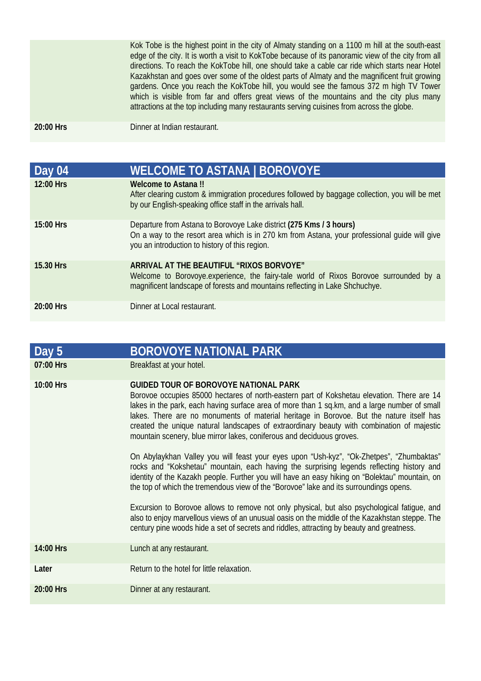|           | Kok Tobe is the highest point in the city of Almaty standing on a 1100 m hill at the south-east<br>edge of the city. It is worth a visit to KokTobe because of its panoramic view of the city from all<br>directions. To reach the KokTobe hill, one should take a cable car ride which starts near Hotel<br>Kazakhstan and goes over some of the oldest parts of Almaty and the magnificent fruit growing<br>gardens. Once you reach the KokTobe hill, you would see the famous 372 m high TV Tower<br>which is visible from far and offers great views of the mountains and the city plus many<br>attractions at the top including many restaurants serving cuisines from across the globe. |
|-----------|-----------------------------------------------------------------------------------------------------------------------------------------------------------------------------------------------------------------------------------------------------------------------------------------------------------------------------------------------------------------------------------------------------------------------------------------------------------------------------------------------------------------------------------------------------------------------------------------------------------------------------------------------------------------------------------------------|
| 20:00 Hrs | Dinner at Indian restaurant.                                                                                                                                                                                                                                                                                                                                                                                                                                                                                                                                                                                                                                                                  |

| Day 04    | <b>WELCOME TO ASTANA   BOROVOYE</b>                                                                                                                                                                                    |
|-----------|------------------------------------------------------------------------------------------------------------------------------------------------------------------------------------------------------------------------|
| 12:00 Hrs | <b>Welcome to Astana!!</b><br>After clearing custom & immigration procedures followed by baggage collection, you will be met<br>by our English-speaking office staff in the arrivals hall.                             |
| 15:00 Hrs | Departure from Astana to Borovoye Lake district (275 Kms / 3 hours)<br>On a way to the resort area which is in 270 km from Astana, your professional quide will give<br>you an introduction to history of this region. |
| 15.30 Hrs | ARRIVAL AT THE BEAUTIFUL "RIXOS BORVOYE"<br>Welcome to Borovoye.experience, the fairy-tale world of Rixos Borovoe surrounded by a<br>magnificent landscape of forests and mountains reflecting in Lake Shchuchye.      |
| 20:00 Hrs | Dinner at Local restaurant.                                                                                                                                                                                            |

| Day 5       | <b>BOROVOYE NATIONAL PARK</b>                                                                                                                                                                                                                                                                                                                                                                                                                                                                                  |
|-------------|----------------------------------------------------------------------------------------------------------------------------------------------------------------------------------------------------------------------------------------------------------------------------------------------------------------------------------------------------------------------------------------------------------------------------------------------------------------------------------------------------------------|
| 07:00 Hrs   | Breakfast at your hotel.                                                                                                                                                                                                                                                                                                                                                                                                                                                                                       |
| $10:00$ Hrs | <b>GUIDED TOUR OF BOROVOYE NATIONAL PARK</b><br>Borovoe occupies 85000 hectares of north-eastern part of Kokshetau elevation. There are 14<br>lakes in the park, each having surface area of more than 1 sq.km, and a large number of small<br>lakes. There are no monuments of material heritage in Borovoe. But the nature itself has<br>created the unique natural landscapes of extraordinary beauty with combination of majestic<br>mountain scenery, blue mirror lakes, coniferous and deciduous groves. |
|             | On Abylaykhan Valley you will feast your eyes upon "Ush-kyz", "Ok-Zhetpes", "Zhumbaktas"<br>rocks and "Kokshetau" mountain, each having the surprising legends reflecting history and<br>identity of the Kazakh people. Further you will have an easy hiking on "Bolektau" mountain, on<br>the top of which the tremendous view of the "Borovoe" lake and its surroundings opens.                                                                                                                              |
|             | Excursion to Borovoe allows to remove not only physical, but also psychological fatigue, and<br>also to enjoy marvellous views of an unusual oasis on the middle of the Kazakhstan steppe. The<br>century pine woods hide a set of secrets and riddles, attracting by beauty and greatness.                                                                                                                                                                                                                    |
| 14:00 Hrs   | Lunch at any restaurant.                                                                                                                                                                                                                                                                                                                                                                                                                                                                                       |
| Later       | Return to the hotel for little relaxation.                                                                                                                                                                                                                                                                                                                                                                                                                                                                     |
| 20:00 Hrs   | Dinner at any restaurant.                                                                                                                                                                                                                                                                                                                                                                                                                                                                                      |